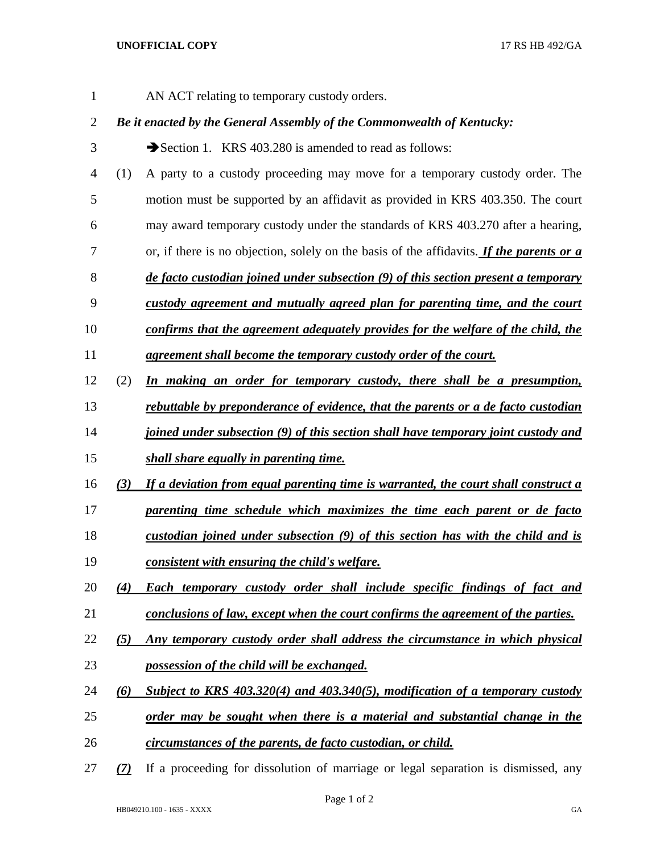AN ACT relating to temporary custody orders.

## *Be it enacted by the General Assembly of the Commonwealth of Kentucky:*

- 3 Section 1. KRS 403.280 is amended to read as follows:
- (1) A party to a custody proceeding may move for a temporary custody order. The motion must be supported by an affidavit as provided in KRS 403.350. The court
- may award temporary custody under the standards of KRS 403.270 after a hearing,
- or, if there is no objection, solely on the basis of the affidavits. *If the parents or a*
- *de facto custodian joined under subsection (9) of this section present a temporary*
- *custody agreement and mutually agreed plan for parenting time, and the court*
- *confirms that the agreement adequately provides for the welfare of the child, the*
- *agreement shall become the temporary custody order of the court.*
- (2) *In making an order for temporary custody, there shall be a presumption,*
- *rebuttable by preponderance of evidence, that the parents or a de facto custodian*
- *joined under subsection (9) of this section shall have temporary joint custody and*
- *shall share equally in parenting time.*
- *(3) If a deviation from equal parenting time is warranted, the court shall construct a*
- *parenting time schedule which maximizes the time each parent or de facto*
- *custodian joined under subsection (9) of this section has with the child and is*
- *consistent with ensuring the child's welfare.*
- *(4) Each temporary custody order shall include specific findings of fact and conclusions of law, except when the court confirms the agreement of the parties.*
- *(5) Any temporary custody order shall address the circumstance in which physical possession of the child will be exchanged.*
- *(6) Subject to KRS 403.320(4) and 403.340(5), modification of a temporary custody*
- *order may be sought when there is a material and substantial change in the*
- *circumstances of the parents, de facto custodian, or child.*
- *(7)* If a proceeding for dissolution of marriage or legal separation is dismissed, any